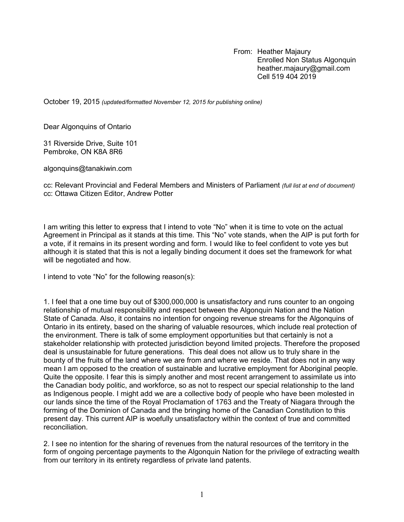From: Heather Majaury Enrolled Non Status Algonquin heather.majaury@gmail.com Cell 519 404 2019

October 19, 2015 *(updated/formatted November 12, 2015 for publishing online)*

Dear Algonquins of Ontario

31 Riverside Drive, Suite 101 Pembroke, ON K8A 8R6

algonquins@tanakiwin.com

cc: Relevant Provincial and Federal Members and Ministers of Parliament *(full list at end of document)* cc: Ottawa Citizen Editor, Andrew Potter

I am writing this letter to express that I intend to vote "No" when it is time to vote on the actual Agreement in Principal as it stands at this time. This "No" vote stands, when the AIP is put forth for a vote, if it remains in its present wording and form. I would like to feel confident to vote yes but although it is stated that this is not a legally binding document it does set the framework for what will be negotiated and how.

I intend to vote "No" for the following reason(s):

1. I feel that a one time buy out of \$300,000,000 is unsatisfactory and runs counter to an ongoing relationship of mutual responsibility and respect between the Algonquin Nation and the Nation State of Canada. Also, it contains no intention for ongoing revenue streams for the Algonquins of Ontario in its entirety, based on the sharing of valuable resources, which include real protection of the environment. There is talk of some employment opportunities but that certainly is not a stakeholder relationship with protected jurisdiction beyond limited projects. Therefore the proposed deal is unsustainable for future generations. This deal does not allow us to truly share in the bounty of the fruits of the land where we are from and where we reside. That does not in any way mean I am opposed to the creation of sustainable and lucrative employment for Aboriginal people. Quite the opposite. I fear this is simply another and most recent arrangement to assimilate us into the Canadian body politic, and workforce, so as not to respect our special relationship to the land as Indigenous people. I might add we are a collective body of people who have been molested in our lands since the time of the Royal Proclamation of 1763 and the Treaty of Niagara through the forming of the Dominion of Canada and the bringing home of the Canadian Constitution to this present day. This current AIP is woefully unsatisfactory within the context of true and committed reconciliation.

2. I see no intention for the sharing of revenues from the natural resources of the territory in the form of ongoing percentage payments to the Algonquin Nation for the privilege of extracting wealth from our territory in its entirety regardless of private land patents.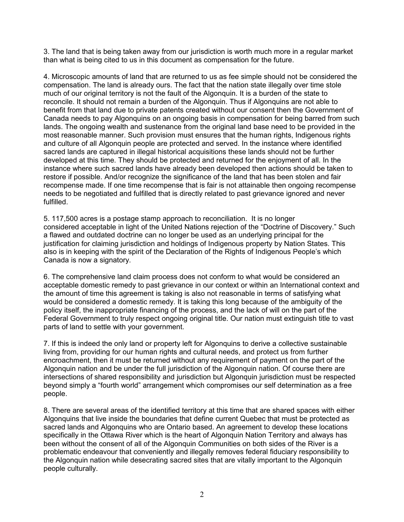3. The land that is being taken away from our jurisdiction is worth much more in a regular market than what is being cited to us in this document as compensation for the future.

4. Microscopic amounts of land that are returned to us as fee simple should not be considered the compensation. The land is already ours. The fact that the nation state illegally over time stole much of our original territory is not the fault of the Algonquin. It is a burden of the state to reconcile. It should not remain a burden of the Algonquin. Thus if Algonquins are not able to benefit from that land due to private patents created without our consent then the Government of Canada needs to pay Algonquins on an ongoing basis in compensation for being barred from such lands. The ongoing wealth and sustenance from the original land base need to be provided in the most reasonable manner. Such provision must ensures that the human rights, Indigenous rights and culture of all Algonquin people are protected and served. In the instance where identified sacred lands are captured in illegal historical acquisitions these lands should not be further developed at this time. They should be protected and returned for the enjoyment of all. In the instance where such sacred lands have already been developed then actions should be taken to restore if possible. And/or recognize the significance of the land that has been stolen and fair recompense made. If one time recompense that is fair is not attainable then ongoing recompense needs to be negotiated and fulfilled that is directly related to past grievance ignored and never fulfilled.

5. 117,500 acres is a postage stamp approach to reconciliation. It is no longer considered acceptable in light of the United Nations rejection of the "Doctrine of Discovery." Such a flawed and outdated doctrine can no longer be used as an underlying principal for the justification for claiming jurisdiction and holdings of Indigenous property by Nation States. This also is in keeping with the spirit of the Declaration of the Rights of Indigenous People's which Canada is now a signatory.

6. The comprehensive land claim process does not conform to what would be considered an acceptable domestic remedy to past grievance in our context or within an International context and the amount of time this agreement is taking is also not reasonable in terms of satisfying what would be considered a domestic remedy. It is taking this long because of the ambiguity of the policy itself, the inappropriate financing of the process, and the lack of will on the part of the Federal Government to truly respect ongoing original title. Our nation must extinguish title to vast parts of land to settle with your government.

7. If this is indeed the only land or property left for Algonquins to derive a collective sustainable living from, providing for our human rights and cultural needs, and protect us from further encroachment, then it must be returned without any requirement of payment on the part of the Algonquin nation and be under the full jurisdiction of the Algonquin nation. Of course there are intersections of shared responsibility and jurisdiction but Algonquin jurisdiction must be respected beyond simply a "fourth world" arrangement which compromises our self determination as a free people.

8. There are several areas of the identified territory at this time that are shared spaces with either Algonquins that live inside the boundaries that define current Quebec that must be protected as sacred lands and Algonquins who are Ontario based. An agreement to develop these locations specifically in the Ottawa River which is the heart of Algonquin Nation Territory and always has been without the consent of all of the Algonquin Communities on both sides of the River is a problematic endeavour that conveniently and illegally removes federal fiduciary responsibility to the Algonquin nation while desecrating sacred sites that are vitally important to the Algonquin people culturally.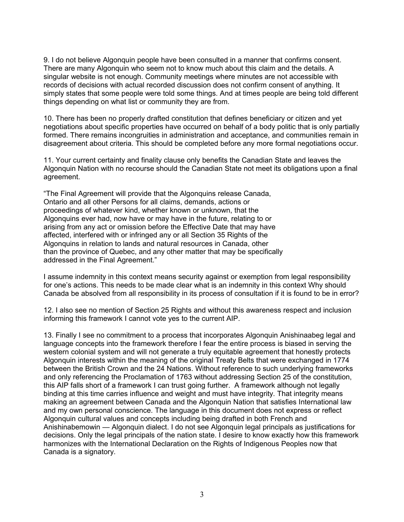9. I do not believe Algonquin people have been consulted in a manner that confirms consent. There are many Algonquin who seem not to know much about this claim and the details. A singular website is not enough. Community meetings where minutes are not accessible with records of decisions with actual recorded discussion does not confirm consent of anything. It simply states that some people were told some things. And at times people are being told different things depending on what list or community they are from.

10. There has been no properly drafted constitution that defines beneficiary or citizen and yet negotiations about specific properties have occurred on behalf of a body politic that is only partially formed. There remains incongruities in administration and acceptance, and communities remain in disagreement about criteria. This should be completed before any more formal negotiations occur.

11. Your current certainty and finality clause only benefits the Canadian State and leaves the Algonquin Nation with no recourse should the Canadian State not meet its obligations upon a final agreement.

"The Final Agreement will provide that the Algonquins release Canada, Ontario and all other Persons for all claims, demands, actions or proceedings of whatever kind, whether known or unknown, that the Algonquins ever had, now have or may have in the future, relating to or arising from any act or omission before the Effective Date that may have affected, interfered with or infringed any or all Section 35 Rights of the Algonquins in relation to lands and natural resources in Canada, other than the province of Quebec, and any other matter that may be specifically addressed in the Final Agreement."

I assume indemnity in this context means security against or exemption from legal responsibility for one's actions. This needs to be made clear what is an indemnity in this context Why should Canada be absolved from all responsibility in its process of consultation if it is found to be in error?

12. I also see no mention of Section 25 Rights and without this awareness respect and inclusion informing this framework I cannot vote yes to the current AIP.

13. Finally I see no commitment to a process that incorporates Algonquin Anishinaabeg legal and language concepts into the framework therefore I fear the entire process is biased in serving the western colonial system and will not generate a truly equitable agreement that honestly protects Algonquin interests within the meaning of the original Treaty Belts that were exchanged in 1774 between the British Crown and the 24 Nations. Without reference to such underlying frameworks and only referencing the Proclamation of 1763 without addressing Section 25 of the constitution, this AIP falls short of a framework I can trust going further. A framework although not legally binding at this time carries influence and weight and must have integrity. That integrity means making an agreement between Canada and the Algonquin Nation that satisfies International law and my own personal conscience. The language in this document does not express or reflect Algonquin cultural values and concepts including being drafted in both French and Anishinabemowin — Algonquin dialect. I do not see Algonquin legal principals as justifications for decisions. Only the legal principals of the nation state. I desire to know exactly how this framework harmonizes with the International Declaration on the Rights of Indigenous Peoples now that Canada is a signatory.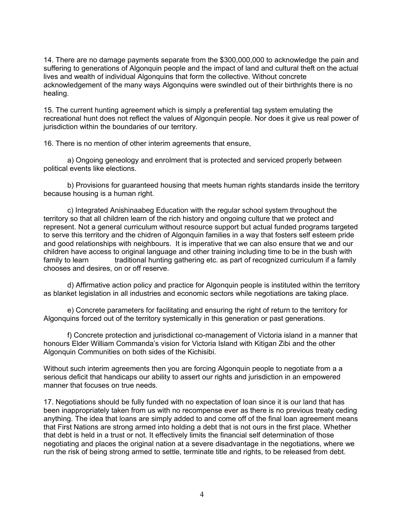14. There are no damage payments separate from the \$300,000,000 to acknowledge the pain and suffering to generations of Algonquin people and the impact of land and cultural theft on the actual lives and wealth of individual Algonquins that form the collective. Without concrete acknowledgement of the many ways Algonquins were swindled out of their birthrights there is no healing.

15. The current hunting agreement which is simply a preferential tag system emulating the recreational hunt does not reflect the values of Algonquin people. Nor does it give us real power of jurisdiction within the boundaries of our territory.

16. There is no mention of other interim agreements that ensure,

a) Ongoing geneology and enrolment that is protected and serviced properly between political events like elections.

b) Provisions for guaranteed housing that meets human rights standards inside the territory because housing is a human right.

c) Integrated Anishinaabeg Education with the regular school system throughout the territory so that all children learn of the rich history and ongoing culture that we protect and represent. Not a general curriculum without resource support but actual funded programs targeted to serve this territory and the chidren of Algonquin families in a way that fosters self esteem pride and good relationships with neighbours. It is imperative that we can also ensure that we and our children have access to original language and other training including time to be in the bush with family to learn traditional hunting gathering etc. as part of recognized curriculum if a family chooses and desires, on or off reserve.

d) Affirmative action policy and practice for Algonquin people is instituted within the territory as blanket legislation in all industries and economic sectors while negotiations are taking place.

e) Concrete parameters for facilitating and ensuring the right of return to the territory for Algonquins forced out of the territory systemically in this generation or past generations.

f) Concrete protection and jurisdictional co-management of Victoria island in a manner that honours Elder William Commanda's vision for Victoria Island with Kitigan Zibi and the other Algonquin Communities on both sides of the Kichisibi.

Without such interim agreements then you are forcing Algonquin people to negotiate from a a serious deficit that handicaps our ability to assert our rights and jurisdiction in an empowered manner that focuses on true needs.

17. Negotiations should be fully funded with no expectation of loan since it is our land that has been inappropriately taken from us with no recompense ever as there is no previous treaty ceding anything. The idea that loans are simply added to and come off of the final loan agreement means that First Nations are strong armed into holding a debt that is not ours in the first place. Whether that debt is held in a trust or not. It effectively limits the financial self determination of those negotiating and places the original nation at a severe disadvantage in the negotiations, where we run the risk of being strong armed to settle, terminate title and rights, to be released from debt.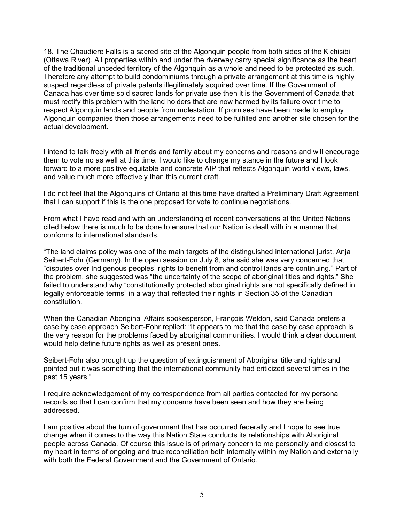18. The Chaudiere Falls is a sacred site of the Algonquin people from both sides of the Kichisibi (Ottawa River). All properties within and under the riverway carry special significance as the heart of the traditional unceded territory of the Algonquin as a whole and need to be protected as such. Therefore any attempt to build condominiums through a private arrangement at this time is highly suspect regardless of private patents illegitimately acquired over time. If the Government of Canada has over time sold sacred lands for private use then it is the Government of Canada that must rectify this problem with the land holders that are now harmed by its failure over time to respect Algonquin lands and people from molestation. If promises have been made to employ Algonquin companies then those arrangements need to be fulfilled and another site chosen for the actual development.

I intend to talk freely with all friends and family about my concerns and reasons and will encourage them to vote no as well at this time. I would like to change my stance in the future and I look forward to a more positive equitable and concrete AIP that reflects Algonquin world views, laws, and value much more effectively than this current draft.

I do not feel that the Algonquins of Ontario at this time have drafted a Preliminary Draft Agreement that I can support if this is the one proposed for vote to continue negotiations.

From what I have read and with an understanding of recent conversations at the United Nations cited below there is much to be done to ensure that our Nation is dealt with in a manner that conforms to international standards.

"The land claims policy was one of the main targets of the distinguished international jurist, Anja Seibert-Fohr (Germany). In the open session on July 8, she said she was very concerned that "disputes over Indigenous peoples' rights to benefit from and control lands are continuing." Part of the problem, she suggested was "the uncertainty of the scope of aboriginal titles and rights." She failed to understand why "constitutionally protected aboriginal rights are not specifically defined in legally enforceable terms" in a way that reflected their rights in Section 35 of the Canadian constitution.

When the Canadian Aboriginal Affairs spokesperson, François Weldon, said Canada prefers a case by case approach Seibert-Fohr replied: "It appears to me that the case by case approach is the very reason for the problems faced by aboriginal communities. I would think a clear document would help define future rights as well as present ones.

Seibert-Fohr also brought up the question of extinguishment of Aboriginal title and rights and pointed out it was something that the international community had criticized several times in the past 15 years."

I require acknowledgement of my correspondence from all parties contacted for my personal records so that I can confirm that my concerns have been seen and how they are being addressed.

I am positive about the turn of government that has occurred federally and I hope to see true change when it comes to the way this Nation State conducts its relationships with Aboriginal people across Canada. Of course this issue is of primary concern to me personally and closest to my heart in terms of ongoing and true reconciliation both internally within my Nation and externally with both the Federal Government and the Government of Ontario.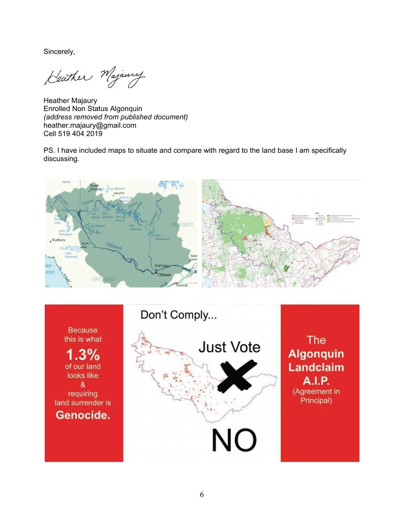Sincerely,

Heather Majaury

Heather Majaury Enrolled Non Status Algonquin *(address removed from published document)* heather.majaury@gmail.com Cell 519 404 2019

PS. I have included maps to situate and compare with regard to the land base I am specifically discussing.